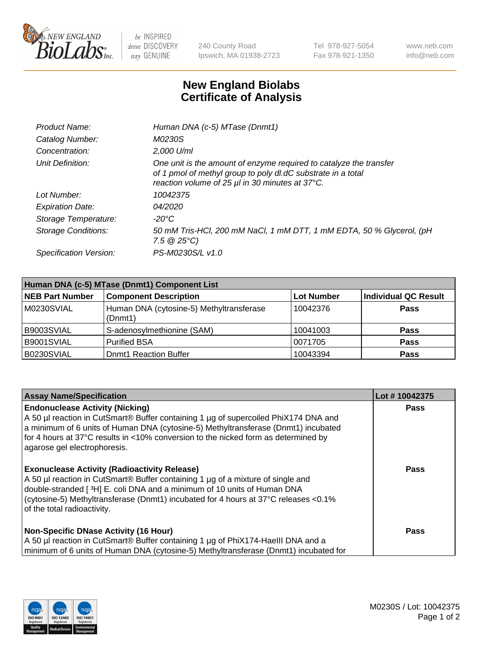

 $be$  INSPIRED drive DISCOVERY stay GENUINE

240 County Road Ipswich, MA 01938-2723 Tel 978-927-5054 Fax 978-921-1350 www.neb.com info@neb.com

## **New England Biolabs Certificate of Analysis**

| Product Name:              | Human DNA (c-5) MTase (Dnmt1)                                                                                                                                                         |
|----------------------------|---------------------------------------------------------------------------------------------------------------------------------------------------------------------------------------|
| Catalog Number:            | M0230S                                                                                                                                                                                |
| Concentration:             | 2,000 U/ml                                                                                                                                                                            |
| Unit Definition:           | One unit is the amount of enzyme required to catalyze the transfer<br>of 1 pmol of methyl group to poly dl.dC substrate in a total<br>reaction volume of 25 µl in 30 minutes at 37°C. |
| Lot Number:                | 10042375                                                                                                                                                                              |
| <b>Expiration Date:</b>    | <i>04/2020</i>                                                                                                                                                                        |
| Storage Temperature:       | -20°C                                                                                                                                                                                 |
| <b>Storage Conditions:</b> | 50 mM Tris-HCl, 200 mM NaCl, 1 mM DTT, 1 mM EDTA, 50 % Glycerol, (pH<br>$7.5 \circ 25^{\circ}C$                                                                                       |
| Specification Version:     | PS-M0230S/L v1.0                                                                                                                                                                      |

| Human DNA (c-5) MTase (Dnmt1) Component List |                                                     |                   |                      |  |  |
|----------------------------------------------|-----------------------------------------------------|-------------------|----------------------|--|--|
| <b>NEB Part Number</b>                       | <b>Component Description</b>                        | <b>Lot Number</b> | Individual QC Result |  |  |
| M0230SVIAL                                   | Human DNA (cytosine-5) Methyltransferase<br>(Dnmt1) | 10042376          | Pass                 |  |  |
| B9003SVIAL                                   | S-adenosylmethionine (SAM)                          | 10041003          | <b>Pass</b>          |  |  |
| B9001SVIAL                                   | <b>Purified BSA</b>                                 | 0071705           | <b>Pass</b>          |  |  |
| B0230SVIAL                                   | <b>Domt1 Reaction Buffer</b>                        | 10043394          | <b>Pass</b>          |  |  |

| <b>Assay Name/Specification</b>                                                                                                                                                                                                                                                                                                           | Lot #10042375 |
|-------------------------------------------------------------------------------------------------------------------------------------------------------------------------------------------------------------------------------------------------------------------------------------------------------------------------------------------|---------------|
| <b>Endonuclease Activity (Nicking)</b><br>A 50 µl reaction in CutSmart® Buffer containing 1 µg of supercoiled PhiX174 DNA and<br>a minimum of 6 units of Human DNA (cytosine-5) Methyltransferase (Dnmt1) incubated<br>for 4 hours at 37°C results in <10% conversion to the nicked form as determined by<br>agarose gel electrophoresis. | Pass          |
| <b>Exonuclease Activity (Radioactivity Release)</b><br>A 50 µl reaction in CutSmart® Buffer containing 1 µg of a mixture of single and<br>double-stranded [3H] E. coli DNA and a minimum of 10 units of Human DNA<br>(cytosine-5) Methyltransferase (Dnmt1) incubated for 4 hours at 37°C releases <0.1%<br>of the total radioactivity.   | <b>Pass</b>   |
| <b>Non-Specific DNase Activity (16 Hour)</b><br>A 50 µl reaction in CutSmart® Buffer containing 1 µg of PhiX174-HaellI DNA and a<br>minimum of 6 units of Human DNA (cytosine-5) Methyltransferase (Dnmt1) incubated for                                                                                                                  | <b>Pass</b>   |